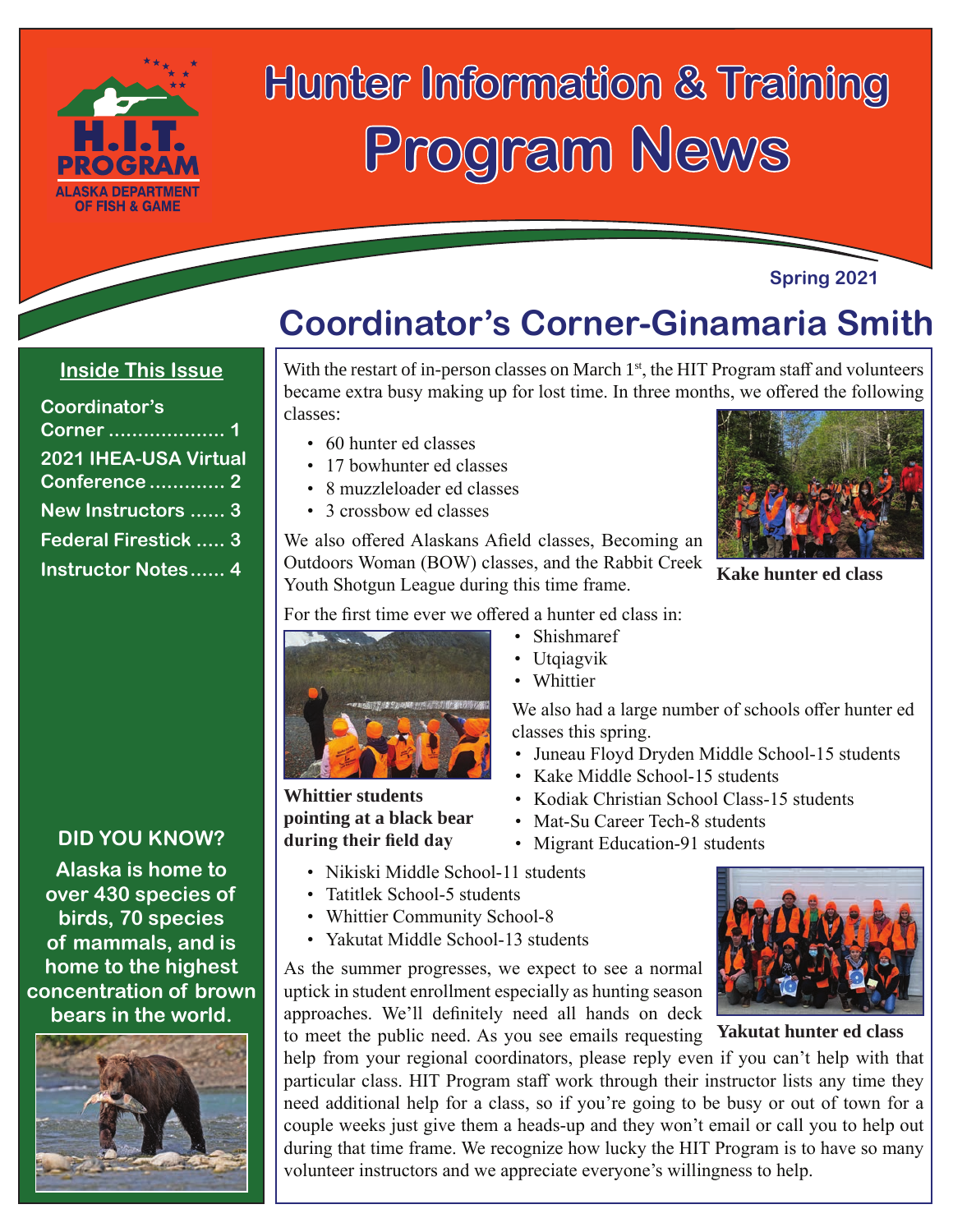

# **Hunter Information & Training Program News**

#### **Spring 2021**

**Kake hunter ed class**

### **Coordinator's Corner-Ginamaria Smith**

### **Inside This Issue**

| Coordinator's             |  |
|---------------------------|--|
| Corner  1                 |  |
| 2021 IHEA-USA Virtual     |  |
| <b>Conference 2</b>       |  |
| New Instructors  3        |  |
| Federal Firestick  3      |  |
| <b>Instructor Notes 4</b> |  |

#### **DID YOU KNOW?**

**Alaska is home to over 430 species of birds, 70 species of mammals, and is home to the highest concentration of brown bears in the world.**



#### With the restart of in-person classes on March  $1<sup>st</sup>$ , the HIT Program staff and volunteers became extra busy making up for lost time. In three months, we offered the following classes:

- 60 hunter ed classes
- 17 bowhunter ed classes
- 8 muzzleloader ed classes
- 3 crossbow ed classes

We also offered Alaskans Afield classes, Becoming an Outdoors Woman (BOW) classes, and the Rabbit Creek Youth Shotgun League during this time frame.

For the first time ever we offered a hunter ed class in:



**Whittier students pointing at a black bear during their field day**

• Utqiagvik

• Shishmaref

• Whittier

We also had a large number of schools offer hunter ed classes this spring.

- Juneau Floyd Dryden Middle School-15 students
- Kake Middle School-15 students
- Kodiak Christian School Class-15 students
- Mat-Su Career Tech-8 students
- Migrant Education-91 students
- Nikiski Middle School-11 students
- Tatitlek School-5 students
- Whittier Community School-8
- Yakutat Middle School-13 students

As the summer progresses, we expect to see a normal uptick in student enrollment especially as hunting season approaches. We'll definitely need all hands on deck

to meet the public need. As you see emails requesting **Yakutat hunter ed class** help from your regional coordinators, please reply even if you can't help with that particular class. HIT Program staff work through their instructor lists any time they need additional help for a class, so if you're going to be busy or out of town for a couple weeks just give them a heads-up and they won't email or call you to help out during that time frame. We recognize how lucky the HIT Program is to have so many volunteer instructors and we appreciate everyone's willingness to help.

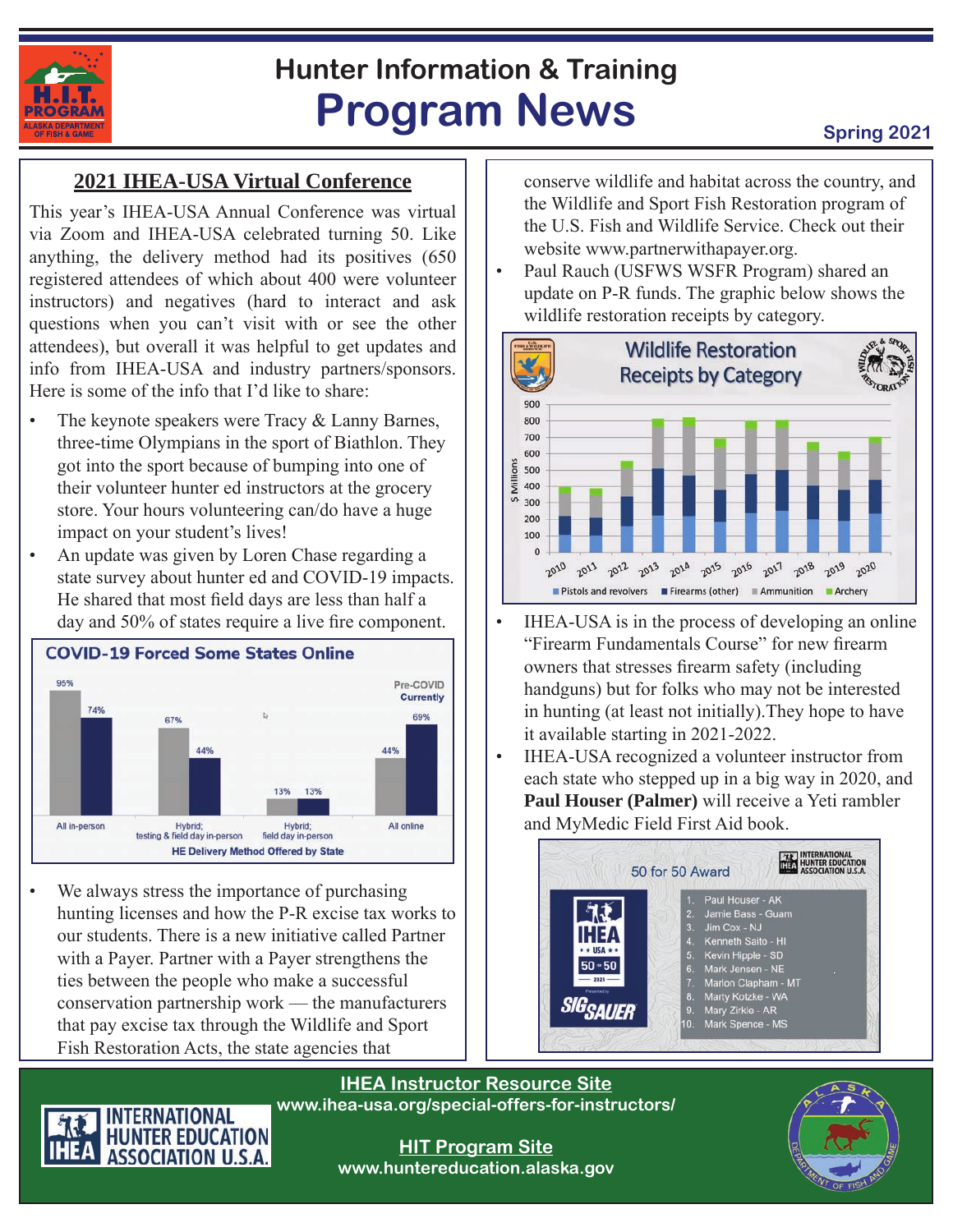

## **Hunter Information & Training Program News Spring 2021**

### **2021 IHEA-USA Virtual Conference**

This year's IHEA-USA Annual Conference was virtual via Zoom and IHEA-USA celebrated turning 50. Like anything, the delivery method had its positives (650 registered attendees of which about 400 were volunteer instructors) and negatives (hard to interact and ask questions when you can't visit with or see the other attendees), but overall it was helpful to get updates and info from IHEA-USA and industry partners/sponsors. Here is some of the info that I'd like to share:

- The keynote speakers were Tracy & Lanny Barnes, three-time Olympians in the sport of Biathlon. They got into the sport because of bumping into one of their volunteer hunter ed instructors at the grocery store. Your hours volunteering can/do have a huge impact on your student's lives!
- An update was given by Loren Chase regarding a state survey about hunter ed and COVID-19 impacts. He shared that most field days are less than half a day and 50% of states require a live fire component.



We always stress the importance of purchasing hunting licenses and how the P-R excise tax works to our students. There is a new initiative called Partner with a Payer. Partner with a Payer strengthens the ties between the people who make a successful conservation partnership work — the manufacturers that pay excise tax through the Wildlife and Sport Fish Restoration Acts, the state agencies that

conserve wildlife and habitat across the country, and the Wildlife and Sport Fish Restoration program of the U.S. Fish and Wildlife Service. Check out their website www.partnerwithapayer.org.

• Paul Rauch (USFWS WSFR Program) shared an update on P-R funds. The graphic below shows the wildlife restoration receipts by category.



- IHEA-USA is in the process of developing an online "Firearm Fundamentals Course" for new firearm owners that stresses firearm safety (including handguns) but for folks who may not be interested in hunting (at least not initially).They hope to have it available starting in 2021-2022.
- IHEA-USA recognized a volunteer instructor from each state who stepped up in a big way in 2020, and **Paul Houser (Palmer)** will receive a Yeti rambler and MyMedic Field First Aid book.



**IHEA Instructor Resource Site www.ihea-usa.org/special-offers-for-instructors/**



**HIT Program Site www.huntereducation.alaska.gov**

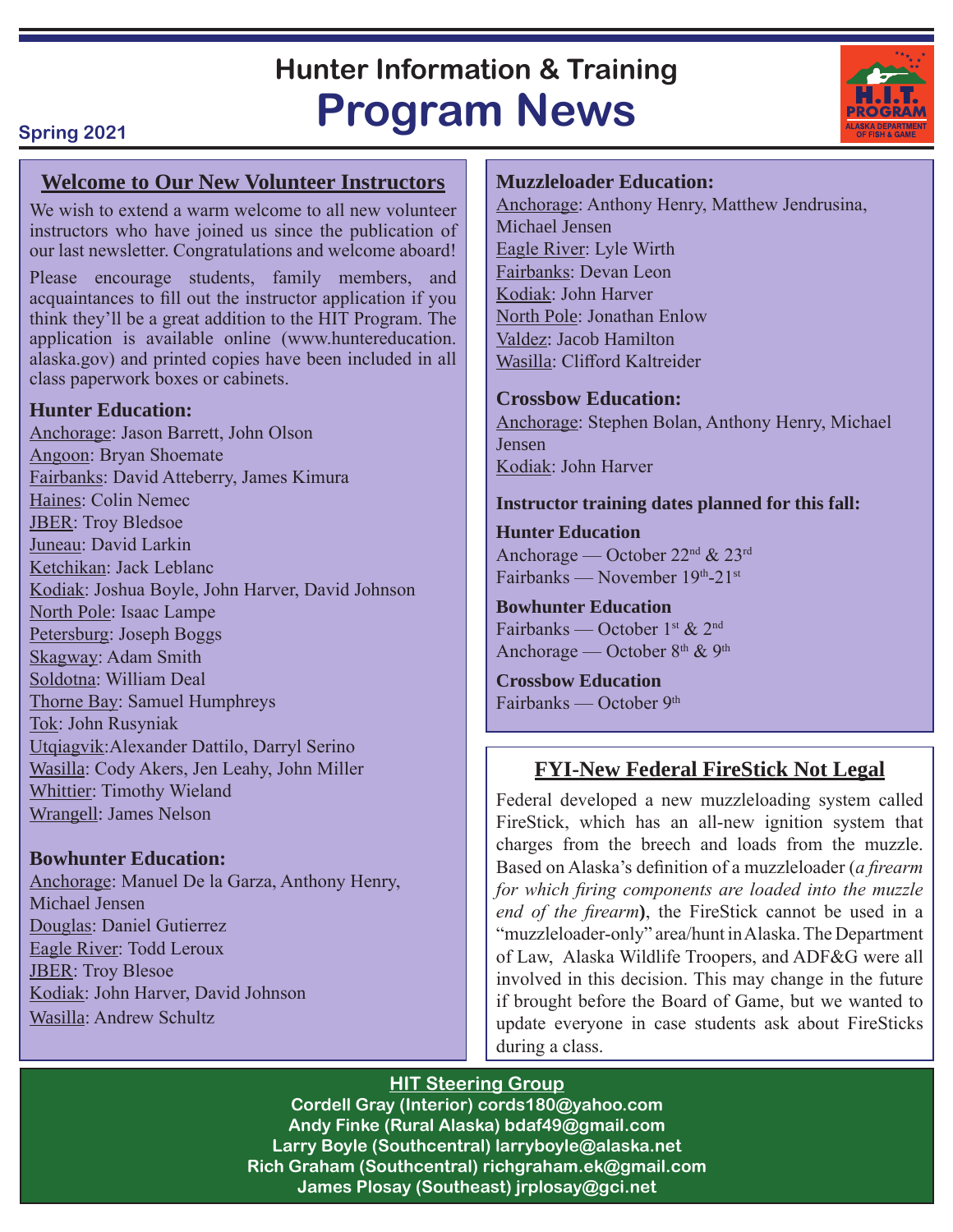### **Hunter Information & Training Program News**

#### **Spring 2021**

#### **Welcome to Our New Volunteer Instructors**

We wish to extend a warm welcome to all new volunteer instructors who have joined us since the publication of our last newsletter. Congratulations and welcome aboard!

Please encourage students, family members, and acquaintances to fill out the instructor application if you think they'll be a great addition to the HIT Program. The application is available online (www.huntereducation. alaska.gov) and printed copies have been included in all class paperwork boxes or cabinets.

#### **Hunter Education:**

Anchorage: Jason Barrett, John Olson Angoon: Bryan Shoemate Fairbanks: David Atteberry, James Kimura Haines: Colin Nemec JBER: Troy Bledsoe Juneau: David Larkin Ketchikan: Jack Leblanc Kodiak: Joshua Boyle, John Harver, David Johnson North Pole: Isaac Lampe Petersburg: Joseph Boggs Skagway: Adam Smith Soldotna: William Deal Thorne Bay: Samuel Humphreys Tok: John Rusyniak Utqiagvik:Alexander Dattilo, Darryl Serino Wasilla: Cody Akers, Jen Leahy, John Miller Whittier: Timothy Wieland Wrangell: James Nelson

#### **Bowhunter Education:**

Anchorage: Manuel De la Garza, Anthony Henry, Michael Jensen Douglas: Daniel Gutierrez Eagle River: Todd Leroux JBER: Troy Blesoe Kodiak: John Harver, David Johnson Wasilla: Andrew Schultz

#### **Muzzleloader Education:**

Anchorage: Anthony Henry, Matthew Jendrusina, Michael Jensen Eagle River: Lyle Wirth Fairbanks: Devan Leon Kodiak: John Harver North Pole: Jonathan Enlow Valdez: Jacob Hamilton Wasilla: Clifford Kaltreider

#### **Crossbow Education:**

Anchorage: Stephen Bolan, Anthony Henry, Michael Jensen Kodiak: John Harver

#### **Instructor training dates planned for this fall:**

**Hunter Education** Anchorage — October 22nd & 23rd Fairbanks — November 19th-21st

#### **Bowhunter Education**

Fairbanks — October 1st & 2nd Anchorage — October 8<sup>th</sup> & 9<sup>th</sup>

**Crossbow Education** Fairbanks — October 9th

#### **FYI-New Federal FireStick Not Legal**

Federal developed a new muzzleloading system called FireStick, which has an all-new ignition system that charges from the breech and loads from the muzzle. Based on Alaska's definition of a muzzleloader (*a firearm for which firing components are loaded into the muzzle end of the firearm***)**, the FireStick cannot be used in a "muzzleloader-only" area/hunt in Alaska. The Department of Law, Alaska Wildlife Troopers, and ADF&G were all involved in this decision. This may change in the future if brought before the Board of Game, but we wanted to update everyone in case students ask about FireSticks during a class.

#### **HIT Steering Group**

**Cordell Gray (Interior) cords180@yahoo.com Andy Finke (Rural Alaska) bdaf49@gmail.com Larry Boyle (Southcentral) larryboyle@alaska.net Rich Graham (Southcentral) richgraham.ek@gmail.com James Plosay (Southeast) jrplosay@gci.net**